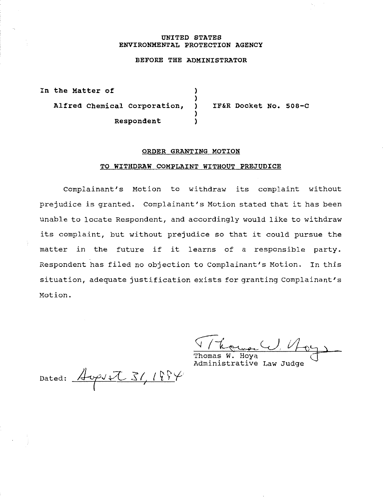#### **UNITED STATES ENVIRONMENTAL PROTECTION AGENCY**

# **BEFORE THE ADMINISTRATOR**

**In the Matter of** ) ) **Alfred Chemical corporation,** ) ) **Respondent** )

**IF&R Docket No. soa-c** 

### **ORDER GRANTING MOTION**

### **TO WITHDRAW COMPLAINT WITHOUT PREJUDICE**

Complainant's Motion to withdraw its complaint without prejudice is granted. Complainant's Motion stated that it has been unable to locate Respondent, and accordingly would like to withdraw its complaint, but without prejudice so that it could pursue the matter *in* the future if it learns of a responsible party. Respondent has filed no objection to Complainant's Motion. In this situation, adequate justification exists for granting Complainant's Motion.

Thomas W. Hoya Administrative Law Judge

Dated:  $\frac{\text{A}}{\text{A}}$